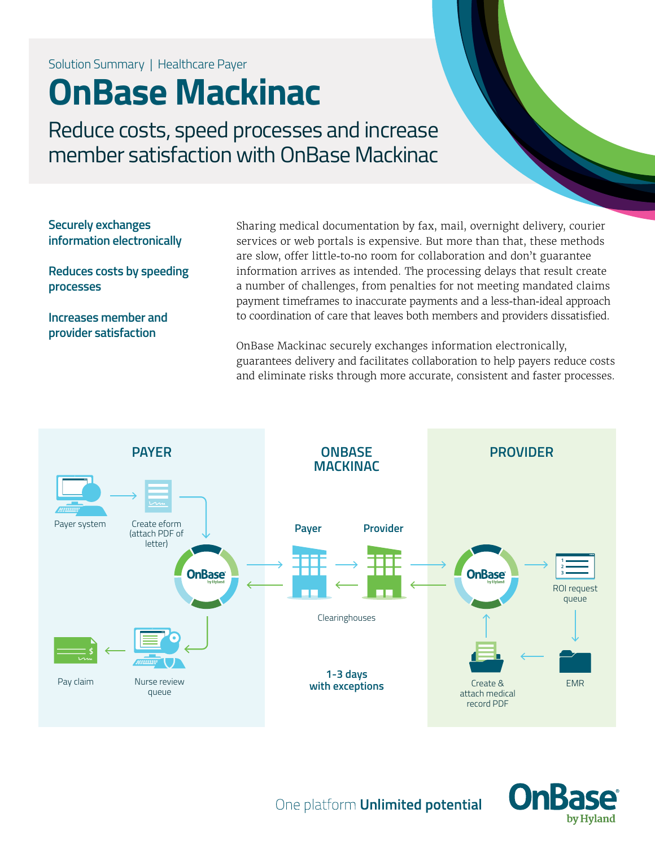Solution Summary | Healthcare Payer

# **OnBase Mackinac**

Reduce costs, speed processes and increase member satisfaction with OnBase Mackinac

**Securely exchanges information electronically**

**Reduces costs by speeding processes**

**Increases member and provider satisfaction**

Sharing medical documentation by fax, mail, overnight delivery, courier services or web portals is expensive. But more than that, these methods are slow, offer little-to-no room for collaboration and don't guarantee information arrives as intended. The processing delays that result create a number of challenges, from penalties for not meeting mandated claims payment timeframes to inaccurate payments and a less-than-ideal approach to coordination of care that leaves both members and providers dissatisfied.

OnBase Mackinac securely exchanges information electronically, guarantees delivery and facilitates collaboration to help payers reduce costs and eliminate risks through more accurate, consistent and faster processes.





One platform **Unlimited potential**